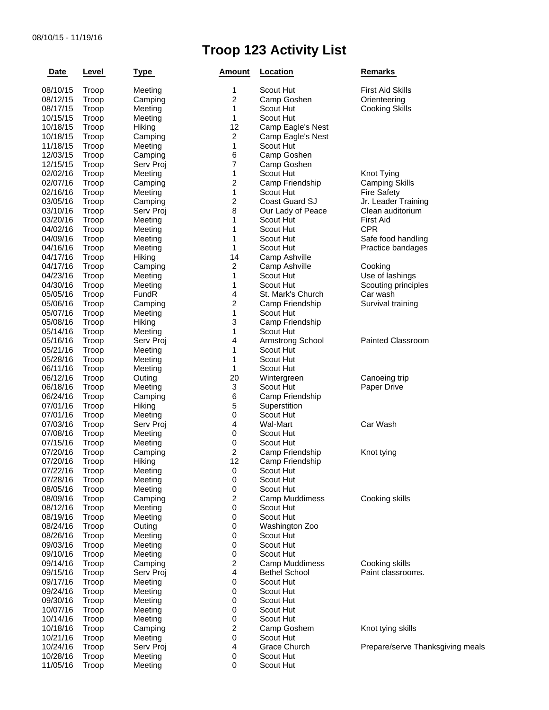## **Troop 123 Activity List**

| <b>Date</b>          | Level          | <b>Type</b> | Amount           | Location                       | <b>Remarks</b>                          |  |
|----------------------|----------------|-------------|------------------|--------------------------------|-----------------------------------------|--|
| 08/10/15             | Troop          | Meeting     | 1                | Scout Hut                      | <b>First Aid Skills</b>                 |  |
| 08/12/15             | Troop          | Camping     | $\boldsymbol{2}$ | Camp Goshen                    | Orienteering                            |  |
| 08/17/15             | Troop          | Meeting     | $\mathbf{1}$     | Scout Hut                      | <b>Cooking Skills</b>                   |  |
| 10/15/15             | Troop          | Meeting     | 1                | Scout Hut                      |                                         |  |
| 10/18/15             | Troop          | Hiking      | 12               | Camp Eagle's Nest              |                                         |  |
| 10/18/15             | Troop          | Camping     | $\boldsymbol{2}$ | Camp Eagle's Nest              |                                         |  |
| 11/18/15             | Troop          | Meeting     | 1                | Scout Hut                      |                                         |  |
| 12/03/15             | Troop          | Camping     | 6                | Camp Goshen                    |                                         |  |
| 12/15/15             | Troop          | Serv Proj   | 7                | Camp Goshen                    |                                         |  |
| 02/02/16             | Troop          | Meeting     | 1                | Scout Hut                      | Knot Tying                              |  |
| 02/07/16             | Troop          | Camping     | $\overline{c}$   | Camp Friendship                | <b>Camping Skills</b>                   |  |
| 02/16/16             | Troop          | Meeting     | 1                | Scout Hut                      |                                         |  |
|                      |                |             | $\boldsymbol{2}$ | Coast Guard SJ                 | <b>Fire Safety</b>                      |  |
| 03/05/16<br>03/10/16 | Troop          | Camping     | 8                |                                | Jr. Leader Training<br>Clean auditorium |  |
|                      | Troop          | Serv Proj   | 1                | Our Lady of Peace<br>Scout Hut | <b>First Aid</b>                        |  |
| 03/20/16             | Troop          | Meeting     |                  |                                |                                         |  |
| 04/02/16             | Troop          | Meeting     | 1                | Scout Hut                      | <b>CPR</b>                              |  |
| 04/09/16             | Troop          | Meeting     | 1                | Scout Hut                      | Safe food handling                      |  |
| 04/16/16             | Troop          | Meeting     | 1                | Scout Hut                      | Practice bandages                       |  |
| 04/17/16             | Troop          | Hiking      | 14               | Camp Ashville                  |                                         |  |
| 04/17/16             | Troop          | Camping     | $\overline{c}$   | Camp Ashville                  | Cooking                                 |  |
| 04/23/16             | Troop          | Meeting     | $\mathbf{1}$     | Scout Hut                      | Use of lashings                         |  |
| 04/30/16             | Troop          | Meeting     | 1                | Scout Hut                      | Scouting principles                     |  |
| 05/05/16             | Troop          | FundR       | 4                | St. Mark's Church              | Car wash                                |  |
| 05/06/16             | Troop          | Camping     | $\boldsymbol{2}$ | Camp Friendship                | Survival training                       |  |
| 05/07/16             | Troop          | Meeting     | 1                | Scout Hut                      |                                         |  |
| 05/08/16             | Troop          | Hiking      | 3                | Camp Friendship                |                                         |  |
| 05/14/16             | Troop          | Meeting     | 1                | Scout Hut                      |                                         |  |
| 05/16/16             | Troop          | Serv Proj   | 4                | Armstrong School               | Painted Classroom                       |  |
| 05/21/16             | Troop          | Meeting     | 1                | Scout Hut                      |                                         |  |
| 05/28/16             | Troop          | Meeting     | 1                | Scout Hut                      |                                         |  |
| 06/11/16             | Troop          | Meeting     | 1                | Scout Hut                      |                                         |  |
| 06/12/16             | Troop          | Outing      | 20               | Wintergreen                    | Canoeing trip                           |  |
| 06/18/16             | Troop          | Meeting     | 3                | Scout Hut                      | Paper Drive                             |  |
| 06/24/16             | Troop          | Camping     | 6                | Camp Friendship                |                                         |  |
| 07/01/16             | Troop          | Hiking      | 5                | Superstition                   |                                         |  |
| 07/01/16             | Troop          | Meeting     | 0                | Scout Hut                      |                                         |  |
| 07/03/16             | Troop          | Serv Proj   | 4                | Wal-Mart                       | Car Wash                                |  |
| 07/08/16             | Troop          | Meeting     | 0                | Scout Hut                      |                                         |  |
| 07/15/16             | Troop          | Meeting     | $\,0\,$          | Scout Hut                      |                                         |  |
| 07/20/16             | Troop          | Camping     | 2                | Camp Friendship                | Knot tying                              |  |
| 07/20/16             | Troop          | Hiking      | 12               | Camp Friendship                |                                         |  |
| 07/22/16             | Troop          | Meeting     | 0                | Scout Hut                      |                                         |  |
| 07/28/16             | Troop          | Meeting     | 0                | Scout Hut                      |                                         |  |
| 08/05/16             | Troop          | Meeting     | 0                | Scout Hut                      |                                         |  |
| 08/09/16             | Troop          | Camping     | $\overline{c}$   | Camp Muddimess                 | Cooking skills                          |  |
| 08/12/16             | Troop          | Meeting     | $\pmb{0}$        | Scout Hut                      |                                         |  |
| 08/19/16             | Troop          | Meeting     | 0                | Scout Hut                      |                                         |  |
| 08/24/16             | Troop          | Outing      | 0                | Washington Zoo                 |                                         |  |
| 08/26/16             | Troop          | Meeting     | 0                | Scout Hut                      |                                         |  |
| 09/03/16             | Troop          | Meeting     | 0                | Scout Hut                      |                                         |  |
| 09/10/16             | Troop          | Meeting     | 0                | Scout Hut                      |                                         |  |
| 09/14/16             | Troop          | Camping     | 2                | Camp Muddimess                 | Cooking skills                          |  |
| 09/15/16             | Troop          | Serv Proj   | 4                | <b>Bethel School</b>           | Paint classrooms.                       |  |
| 09/17/16             |                |             | 0                | Scout Hut                      |                                         |  |
| 09/24/16             | Troop<br>Troop | Meeting     | 0                | Scout Hut                      |                                         |  |
|                      |                | Meeting     |                  | Scout Hut                      |                                         |  |
| 09/30/16             | Troop          | Meeting     | 0                |                                |                                         |  |
| 10/07/16             | Troop          | Meeting     | 0                | Scout Hut                      |                                         |  |
| 10/14/16             | Troop          | Meeting     | 0                | Scout Hut                      |                                         |  |
| 10/18/16             | Troop          | Camping     | 2                | Camp Goshem                    | Knot tying skills                       |  |
| 10/21/16             | Troop          | Meeting     | 0                | Scout Hut                      |                                         |  |
| 10/24/16             | Troop          | Serv Proj   | 4                | Grace Church                   | Prepare/serve Thanksgiving meals        |  |
| 10/28/16             | Troop          | Meeting     | 0                | Scout Hut                      |                                         |  |
| 11/05/16             | Troop          | Meeting     | 0                | Scout Hut                      |                                         |  |